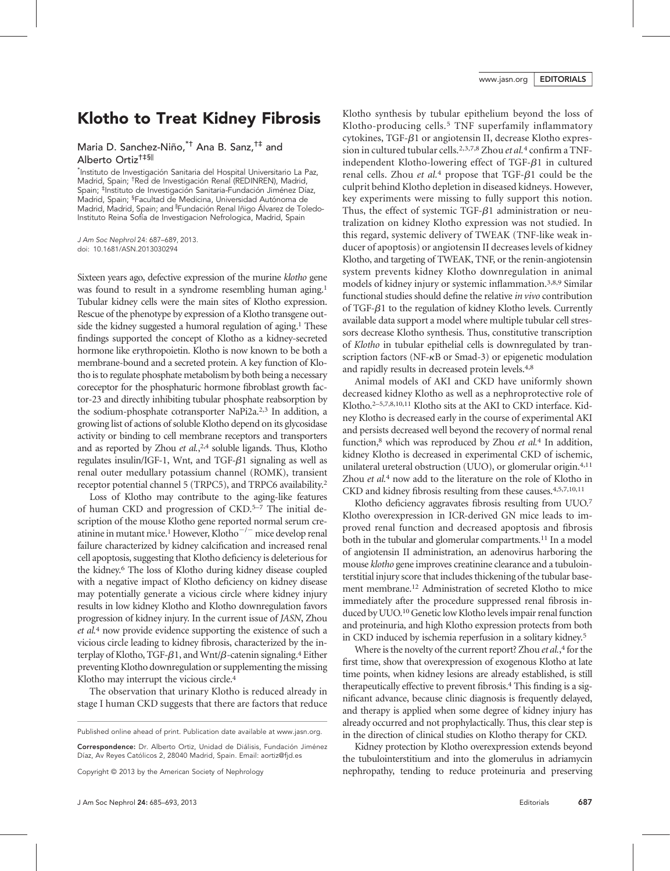## Klotho to Treat Kidney Fibrosis

Maria D. Sanchez-Niño,\*† Ana B. Sanz,†‡ and Alberto Ortiz†‡§<sup>|</sup>

\* Instituto de Investigación Sanitaria del Hospital Universitario La Paz, Madrid, Spain; † Red de Investigación Renal (REDINREN), Madrid, Spain; ‡ Instituto de Investigación Sanitaria-Fundación Jiménez Díaz, Madrid, Spain; § Facultad de Medicina, Universidad Autónoma de Madrid, Madrid, Spain; and <sup>|</sup> Fundación Renal Iñigo Álvarez de Toledo-Instituto Reina Sofía de Investigacion Nefrologica, Madrid, Spain

J Am Soc Nephrol 24: 687–689, 2013. doi: 10.1681/ASN.2013030294

Sixteen years ago, defective expression of the murine klotho gene was found to result in a syndrome resembling human aging.<sup>1</sup> Tubular kidney cells were the main sites of Klotho expression. Rescue of the phenotype by expression of a Klotho transgene outside the kidney suggested a humoral regulation of aging.<sup>1</sup> These findings supported the concept of Klotho as a kidney-secreted hormone like erythropoietin. Klotho is now known to be both a membrane-bound and a secreted protein. A key function of Klotho is to regulate phosphate metabolism by both being a necessary coreceptor for the phosphaturic hormone fibroblast growth factor-23 and directly inhibiting tubular phosphate reabsorption by the sodium-phosphate cotransporter NaPi2a.2,3 In addition, a growing list of actions of soluble Klotho depend on its glycosidase activity or binding to cell membrane receptors and transporters and as reported by Zhou et al.,<sup>2,4</sup> soluble ligands. Thus, Klotho regulates insulin/IGF-1, Wnt, and TGF- $\beta$ 1 signaling as well as renal outer medullary potassium channel (ROMK), transient receptor potential channel 5 (TRPC5), and TRPC6 availability.2

Loss of Klotho may contribute to the aging-like features of human CKD and progression of CKD.5–<sup>7</sup> The initial description of the mouse Klotho gene reported normal serum creatinine in mutant mice.<sup>1</sup> However, Klotho<sup> $-/-$ </sup> mice develop renal failure characterized by kidney calcification and increased renal cell apoptosis, suggesting that Klotho deficiency is deleterious for the kidney.6 The loss of Klotho during kidney disease coupled with a negative impact of Klotho deficiency on kidney disease may potentially generate a vicious circle where kidney injury results in low kidney Klotho and Klotho downregulation favors progression of kidney injury. In the current issue of JASN, Zhou et al.<sup>4</sup> now provide evidence supporting the existence of such a vicious circle leading to kidney fibrosis, characterized by the interplay of Klotho, TGF- $\beta$ 1, and Wnt/ $\beta$ -catenin signaling.<sup>4</sup> Either preventing Klotho downregulation or supplementing the missing Klotho may interrupt the vicious circle.4

The observation that urinary Klotho is reduced already in stage I human CKD suggests that there are factors that reduce

Correspondence: Dr. Alberto Ortiz, Unidad de Diálisis, Fundación Jiménez Díaz, Av Reyes Católicos 2, 28040 Madrid, Spain. Email: aortiz@fjd.es

Copyright © 2013 by the American Society of Nephrology

Klotho synthesis by tubular epithelium beyond the loss of Klotho-producing cells.5 TNF superfamily inflammatory cytokines, TGF- $\beta$ 1 or angiotensin II, decrease Klotho expression in cultured tubular cells.<sup>2,3,7,8</sup> Zhou et al.<sup>4</sup> confirm a TNFindependent Klotho-lowering effect of TGF- $\beta$ 1 in cultured renal cells. Zhou et al.<sup>4</sup> propose that TGF- $\beta$ 1 could be the culprit behind Klotho depletion in diseased kidneys. However, key experiments were missing to fully support this notion. Thus, the effect of systemic TGF- $\beta$ 1 administration or neutralization on kidney Klotho expression was not studied. In this regard, systemic delivery of TWEAK (TNF-like weak inducer of apoptosis) or angiotensin II decreases levels of kidney Klotho, and targeting of TWEAK, TNF, or the renin-angiotensin system prevents kidney Klotho downregulation in animal models of kidney injury or systemic inflammation.3,8,9 Similar functional studies should define the relative in vivo contribution of TGF- $\beta$ 1 to the regulation of kidney Klotho levels. Currently available data support a model where multiple tubular cell stressors decrease Klotho synthesis. Thus, constitutive transcription of Klotho in tubular epithelial cells is downregulated by transcription factors (NF- $\kappa$ B or Smad-3) or epigenetic modulation and rapidly results in decreased protein levels.4,8

Animal models of AKI and CKD have uniformly shown decreased kidney Klotho as well as a nephroprotective role of Klotho.2–5,7,8,10,11 Klotho sits at the AKI to CKD interface. Kidney Klotho is decreased early in the course of experimental AKI and persists decreased well beyond the recovery of normal renal function, $\delta$  which was reproduced by Zhou *et al.*<sup>4</sup> In addition, kidney Klotho is decreased in experimental CKD of ischemic, unilateral ureteral obstruction (UUO), or glomerular origin.4,11 Zhou et al.<sup>4</sup> now add to the literature on the role of Klotho in CKD and kidney fibrosis resulting from these causes.4,5,7,10,11

Klotho deficiency aggravates fibrosis resulting from UUO.7 Klotho overexpression in ICR-derived GN mice leads to improved renal function and decreased apoptosis and fibrosis both in the tubular and glomerular compartments.<sup>11</sup> In a model of angiotensin II administration, an adenovirus harboring the mouse klotho gene improves creatinine clearance and a tubulointerstitial injury score that includes thickening of the tubular basement membrane.12 Administration of secreted Klotho to mice immediately after the procedure suppressed renal fibrosis induced by UUO.<sup>10</sup> Genetic low Klotho levels impair renal function and proteinuria, and high Klotho expression protects from both in CKD induced by ischemia reperfusion in a solitary kidney.5

Where is the novelty of the current report? Zhou et al.,<sup>4</sup> for the first time, show that overexpression of exogenous Klotho at late time points, when kidney lesions are already established, is still therapeutically effective to prevent fibrosis.4 This finding is a significant advance, because clinic diagnosis is frequently delayed, and therapy is applied when some degree of kidney injury has already occurred and not prophylactically. Thus, this clear step is in the direction of clinical studies on Klotho therapy for CKD.

Kidney protection by Klotho overexpression extends beyond the tubulointerstitium and into the glomerulus in adriamycin nephropathy, tending to reduce proteinuria and preserving

Published online ahead of print. Publication date available at www.jasn.org.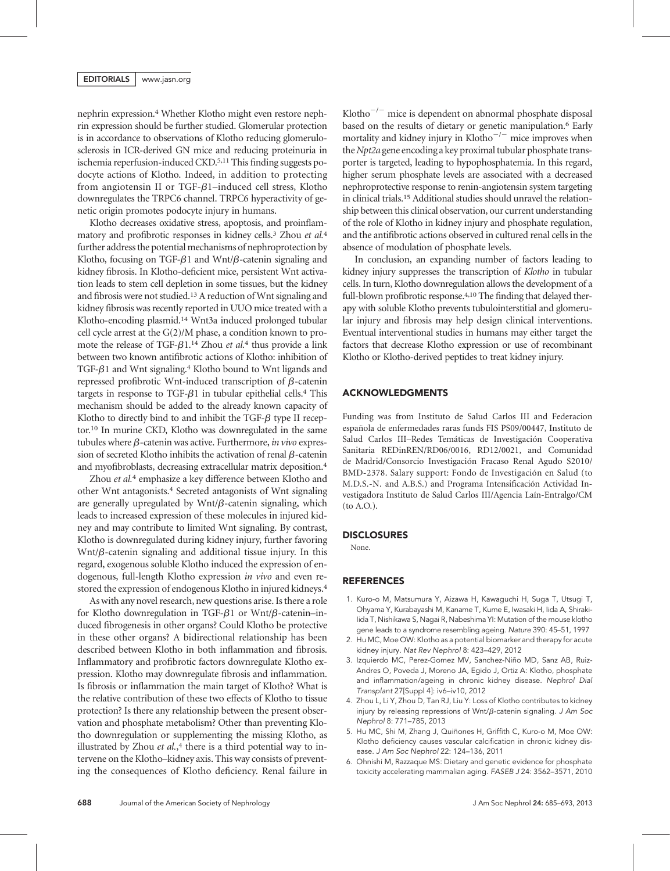nephrin expression.4 Whether Klotho might even restore nephrin expression should be further studied. Glomerular protection is in accordance to observations of Klotho reducing glomerulosclerosis in ICR-derived GN mice and reducing proteinuria in ischemia reperfusion-induced CKD.5,11 This finding suggests podocyte actions of Klotho. Indeed, in addition to protecting from angiotensin II or TGF- $\beta$ 1–induced cell stress, Klotho downregulates the TRPC6 channel. TRPC6 hyperactivity of genetic origin promotes podocyte injury in humans.

Klotho decreases oxidative stress, apoptosis, and proinflammatory and profibrotic responses in kidney cells.<sup>3</sup> Zhou et al.<sup>4</sup> further address the potential mechanisms of nephroprotection by Klotho, focusing on TGF- $\beta$ 1 and Wnt/ $\beta$ -catenin signaling and kidney fibrosis. In Klotho-deficient mice, persistent Wnt activation leads to stem cell depletion in some tissues, but the kidney and fibrosis were not studied.13A reduction of Wnt signaling and kidney fibrosis was recently reported in UUO mice treated with a Klotho-encoding plasmid.14 Wnt3a induced prolonged tubular cell cycle arrest at the G(2)/M phase, a condition known to promote the release of TGF- $\beta$ 1.<sup>14</sup> Zhou *et al.*<sup>4</sup> thus provide a link between two known antifibrotic actions of Klotho: inhibition of TGF- $\beta$ 1 and Wnt signaling.<sup>4</sup> Klotho bound to Wnt ligands and repressed profibrotic Wnt-induced transcription of  $\beta$ -catenin targets in response to TGF- $\beta$ 1 in tubular epithelial cells.<sup>4</sup> This mechanism should be added to the already known capacity of Klotho to directly bind to and inhibit the  $TGF- $\beta$  type II receptor$ tor.10 In murine CKD, Klotho was downregulated in the same tubules where  $\beta$ -catenin was active. Furthermore, in vivo expression of secreted Klotho inhibits the activation of renal  $\beta$ -catenin and myofibroblasts, decreasing extracellular matrix deposition.4

Zhou et al.<sup>4</sup> emphasize a key difference between Klotho and other Wnt antagonists.4 Secreted antagonists of Wnt signaling are generally upregulated by  $Wnt/\beta$ -catenin signaling, which leads to increased expression of these molecules in injured kidney and may contribute to limited Wnt signaling. By contrast, Klotho is downregulated during kidney injury, further favoring  $Wnt/\beta$ -catenin signaling and additional tissue injury. In this regard, exogenous soluble Klotho induced the expression of endogenous, full-length Klotho expression in vivo and even restored the expression of endogenous Klotho in injured kidneys.4

As with any novel research, new questions arise. Is there a role for Klotho downregulation in TGF- $\beta$ 1 or Wnt/ $\beta$ -catenin–induced fibrogenesis in other organs? Could Klotho be protective in these other organs? A bidirectional relationship has been described between Klotho in both inflammation and fibrosis. Inflammatory and profibrotic factors downregulate Klotho expression. Klotho may downregulate fibrosis and inflammation. Is fibrosis or inflammation the main target of Klotho? What is the relative contribution of these two effects of Klotho to tissue protection? Is there any relationship between the present observation and phosphate metabolism? Other than preventing Klotho downregulation or supplementing the missing Klotho, as illustrated by Zhou et al.,<sup>4</sup> there is a third potential way to intervene on the Klotho–kidney axis. This way consists of preventing the consequences of Klotho deficiency. Renal failure in Klotho<sup>-/-</sup> mice is dependent on abnormal phosphate disposal based on the results of dietary or genetic manipulation.<sup>6</sup> Early mortality and kidney injury in Klotho $^{-/-}$  mice improves when the Npt2a gene encoding a key proximal tubular phosphate transporter is targeted, leading to hypophosphatemia. In this regard, higher serum phosphate levels are associated with a decreased nephroprotective response to renin-angiotensin system targeting in clinical trials.15 Additional studies should unravel the relationship between this clinical observation, our current understanding of the role of Klotho in kidney injury and phosphate regulation, and the antifibrotic actions observed in cultured renal cells in the absence of modulation of phosphate levels.

In conclusion, an expanding number of factors leading to kidney injury suppresses the transcription of Klotho in tubular cells. In turn, Klotho downregulation allows the development of a full-blown profibrotic response.<sup>4,10</sup> The finding that delayed therapy with soluble Klotho prevents tubulointerstitial and glomerular injury and fibrosis may help design clinical interventions. Eventual interventional studies in humans may either target the factors that decrease Klotho expression or use of recombinant Klotho or Klotho-derived peptides to treat kidney injury.

## ACKNOWLEDGMENTS

Funding was from Instituto de Salud Carlos III and Federacion española de enfermedades raras funds FIS PS09/00447, Instituto de Salud Carlos III–Redes Temáticas de Investigación Cooperativa Sanitaria REDinREN/RD06/0016, RD12/0021, and Comunidad de Madrid/Consorcio Investigación Fracaso Renal Agudo S2010/ BMD-2378. Salary support: Fondo de Investigación en Salud (to M.D.S.-N. and A.B.S.) and Programa Intensificación Actividad Investigadora Instituto de Salud Carlos III/Agencia Laín-Entralgo/CM (to A.O.).

#### **DISCLOSURES**

None.

#### REFERENCES

- 1. Kuro-o M, Matsumura Y, Aizawa H, Kawaguchi H, Suga T, Utsugi T, Ohyama Y, Kurabayashi M, Kaname T, Kume E, Iwasaki H, Iida A, Shiraki-Iida T, Nishikawa S, Nagai R, Nabeshima YI: Mutation of the mouse klotho gene leads to a syndrome resembling ageing. Nature 390: 45–51, 1997
- 2. Hu MC, Moe OW: Klotho as a potential biomarker and therapy for acute kidney injury. Nat Rev Nephrol 8: 423–429, 2012
- 3. Izquierdo MC, Perez-Gomez MV, Sanchez-Niño MD, Sanz AB, Ruiz-Andres O, Poveda J, Moreno JA, Egido J, Ortiz A: Klotho, phosphate and inflammation/ageing in chronic kidney disease. Nephrol Dial Transplant 27[Suppl 4]: iv6–iv10, 2012
- 4. Zhou L, Li Y, Zhou D, Tan RJ, Liu Y: Loss of Klotho contributes to kidney injury by releasing repressions of Wnt/ $\beta$ -catenin signaling. J Am Soc Nephrol 8: 771–785, 2013
- 5. Hu MC, Shi M, Zhang J, Quiñones H, Griffith C, Kuro-o M, Moe OW: Klotho deficiency causes vascular calcification in chronic kidney disease. J Am Soc Nephrol 22: 124–136, 2011
- 6. Ohnishi M, Razzaque MS: Dietary and genetic evidence for phosphate toxicity accelerating mammalian aging. FASEB J 24: 3562–3571, 2010